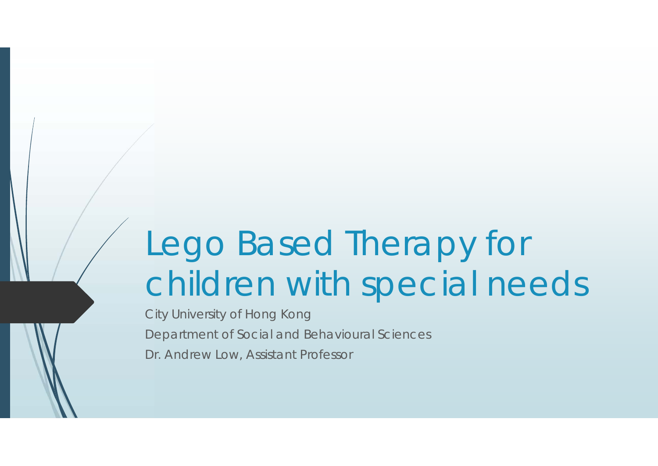# Lego Based Therapy for children with special needs

City University of Hong Kong Department of Social and Behavioural Sciences Dr. Andrew Low, Assistant Professor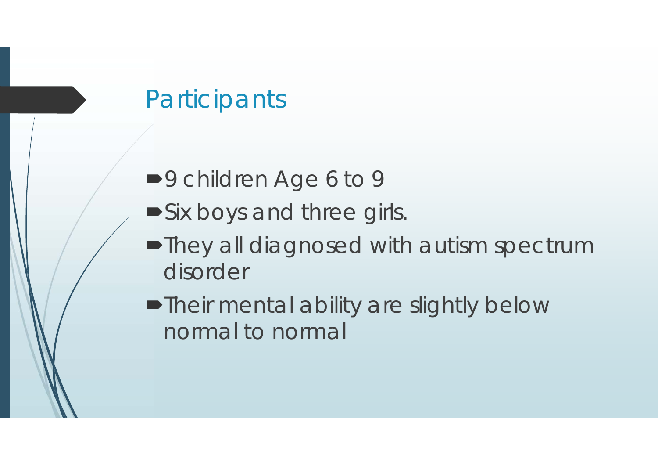# **Participants**

- ■9 children Age 6 to 9
- **Six boys and three girls.**
- They all diagnosed with autism spectrum disorder
- Their mental ability are slightly below normal to normal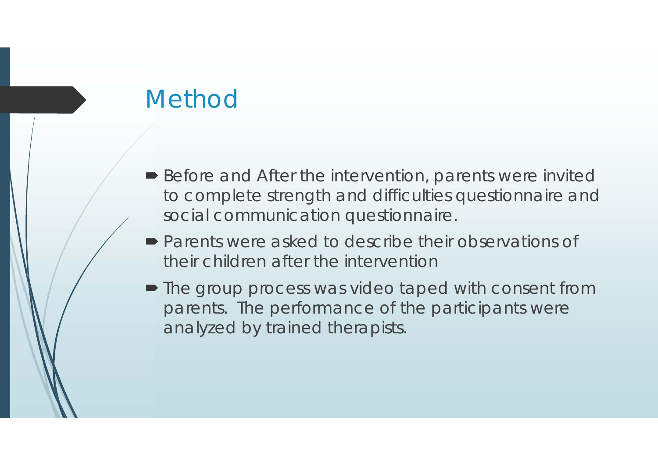# Method

- Before and After the intervention, parents were invited to complete strength and difficulties questionnaire and social communication questionnaire.
- **Parents were asked to describe their observations of** their children after the intervention
- The group process was video taped with consent from parents. The performance of the participants were analyzed by trained therapists.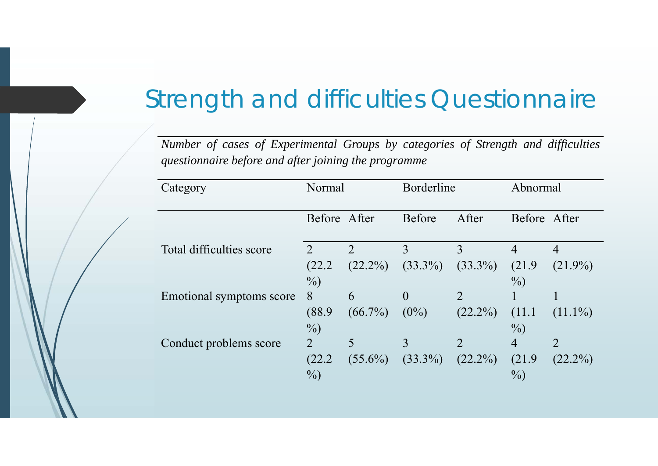# Strength and difficulties Questionnaire

Number of cases of Experimental Groups by categories of Strength and difficulties *questionnaire before and after joining the programme*

| Category                 | Normal                      |               | Borderline     |                             | Abnormal       |                |
|--------------------------|-----------------------------|---------------|----------------|-----------------------------|----------------|----------------|
|                          | Before After                |               | <b>Before</b>  | After                       | Before After   |                |
| Total difficulties score | $\mathcal{D}_{\mathcal{L}}$ | $\mathcal{D}$ | 3              | 3                           | $\overline{4}$ | $\overline{4}$ |
|                          | (22.2)                      | $(22.2\%)$    | $(33.3\%)$     | $(33.3\%)$                  | (21.9)         | $(21.9\%)$     |
|                          | $\%$                        |               |                |                             | $\%$ )         |                |
| Emotional symptoms score | 8                           | 6             | $\overline{0}$ | 2                           |                |                |
|                          | (88.9)                      | $(66.7\%)$    | $(0\%)$        | $(22.2\%)$                  | (11.1          | $(11.1\%)$     |
|                          | $\%$                        |               |                |                             | $\%$ )         |                |
| Conduct problems score   | 2                           | 5             | 3              | $\mathcal{D}_{\mathcal{L}}$ | $\overline{4}$ | $\overline{2}$ |
|                          | (22.2)                      | $(55.6\%)$    | $(33.3\%)$     | $(22.2\%)$                  | (21.9)         | $(22.2\%)$     |
|                          | $\%$                        |               |                |                             | $\%$ )         |                |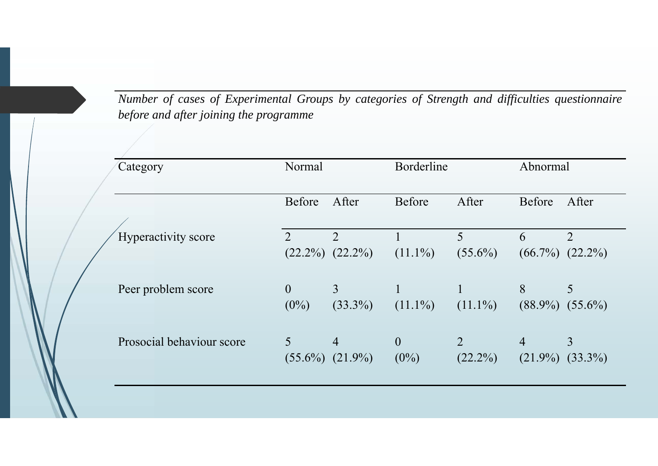Number of cases of Experimental Groups by categories of Strength and difficulties questionnaire *before and after joining the programme*

| Category                  | Normal                      |                                       | Borderline                |                              | Abnormal                     |                                       |
|---------------------------|-----------------------------|---------------------------------------|---------------------------|------------------------------|------------------------------|---------------------------------------|
|                           | Before                      | After                                 | Before                    | After                        | Before                       | After                                 |
| Hyperactivity score       | $\mathcal{D}_{\mathcal{L}}$ | $\overline{2}$<br>$(22.2\%) (22.2\%)$ | $(11.1\%)$                | 5<br>$(55.6\%)$              | 6                            | $\overline{2}$<br>$(66.7\%) (22.2\%)$ |
| Peer problem score        | $\theta$<br>$(0\%)$         | $\overline{3}$<br>$(33.3\%)$          | $(11.1\%)$                | $(11.1\%)$                   | 8<br>$(88.9\%)$              | 5<br>$(55.6\%)$                       |
| Prosocial behaviour score | 5                           | $\overline{4}$<br>$(55.6\%) (21.9\%)$ | $\overline{0}$<br>$(0\%)$ | $\overline{2}$<br>$(22.2\%)$ | $\overline{4}$<br>$(21.9\%)$ | 3<br>$(33.3\%)$                       |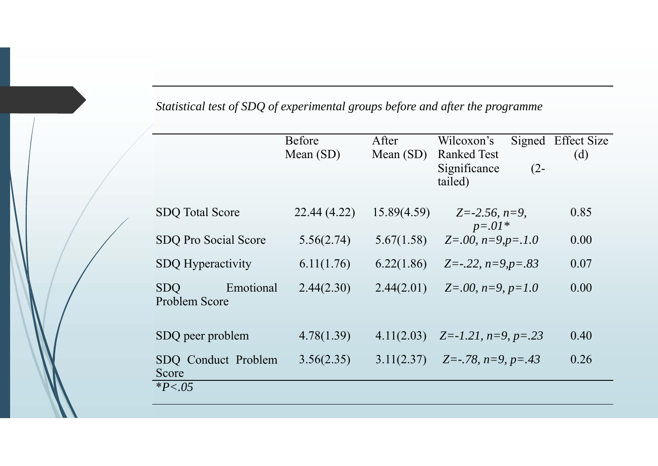| Statistical test of SDQ of experimental groups before and after the programme |  |  |  |
|-------------------------------------------------------------------------------|--|--|--|
|-------------------------------------------------------------------------------|--|--|--|

|                                          | <b>Before</b><br>Mean $(SD)$ | After<br>Mean $(SD)$ | Wilcoxon's<br><b>Ranked Test</b><br>Significance<br>$(2 -$<br>tailed) | Signed Effect Size<br>(d) |
|------------------------------------------|------------------------------|----------------------|-----------------------------------------------------------------------|---------------------------|
| <b>SDQ Total Score</b>                   | 22.44 (4.22)                 | 15.89(4.59)          | $Z = -2.56$ , $n = 9$ ,                                               | 0.85                      |
| SDQ Pro Social Score                     | 5.56(2.74)                   | 5.67(1.58)           | $p = .01*$<br>$Z=0.00$ , $n=9$ , $p=.1.0$                             | 0.00                      |
| <b>SDQ</b> Hyperactivity                 | 6.11(1.76)                   | 6.22(1.86)           | $Z=-.22$ , $n=9$ , $p=.83$                                            | 0.07                      |
| Emotional<br><b>SDO</b><br>Problem Score | 2.44(2.30)                   | 2.44(2.01)           | $Z=0.00$ , $n=9$ , $p=1.0$                                            | 0.00                      |
| SDQ peer problem                         | 4.78(1.39)                   | 4.11(2.03)           | $Z = -1.21$ , $n = 9$ , $p = .23$                                     | 0.40                      |
| SDQ Conduct Problem<br>Score             | 3.56(2.35)                   | 3.11(2.37)           | Z=-.78, $n=9$ , $p=.43$                                               | 0.26                      |
| $*P < .05$                               |                              |                      |                                                                       |                           |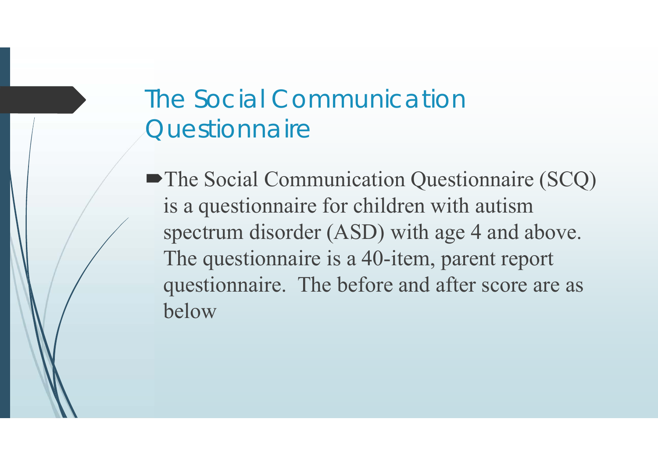# The Social Communication **Questionnaire**

• The Social Communication Questionnaire (SCQ) is a questionnaire for children with autism spectrum disorder (ASD) with age 4 and above. The questionnaire is a 40-item, parent report questionnaire. The before and after score are as below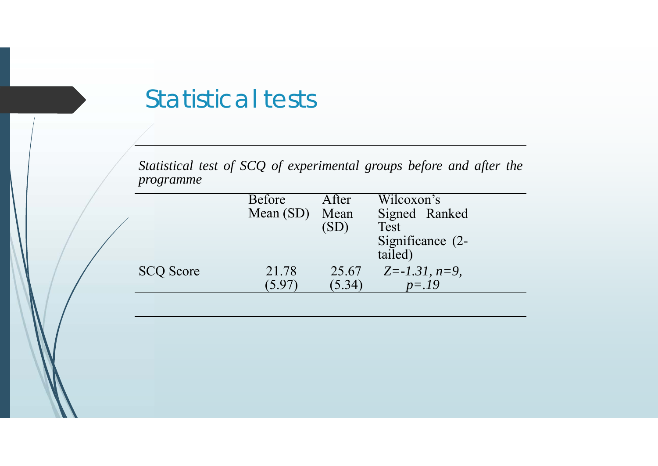#### Statistical tests

*Statistical test of SCQ of experimental groups before and after the programme*

|                  | <b>Before</b> | After  | Wilcoxon's            |
|------------------|---------------|--------|-----------------------|
|                  | Mean $(SD)$   | Mean   | Signed Ranked         |
|                  |               | (SD)   | Test                  |
|                  |               |        | Significance (2-      |
|                  |               |        | tailed)               |
| <b>SCQ Score</b> | 21.78         | 25.67  | $Z = -1.31$ , $n=9$ , |
|                  | (5.97)        | (5.34) | $p = 19$              |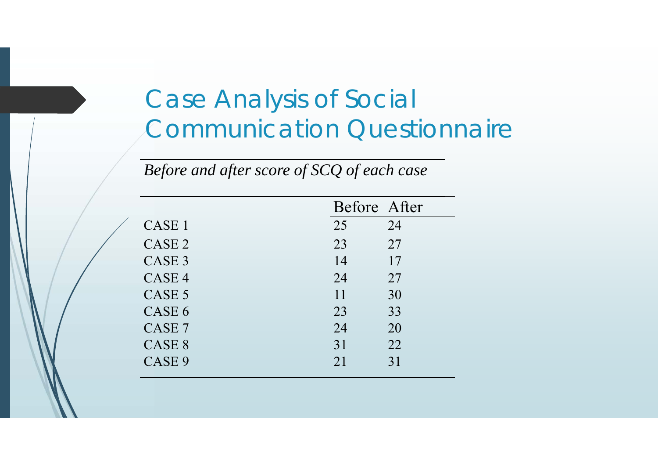# Case Analysis of Social Communication Questionnaire

|                   |    | Before After |
|-------------------|----|--------------|
| CASE 1            | 25 | 24           |
| CASE <sub>2</sub> | 23 | 27           |
| CASE <sub>3</sub> | 14 | 17           |
| CASE <sub>4</sub> | 24 | 27           |
| CASE <sub>5</sub> | 11 | 30           |
| CASE <sub>6</sub> | 23 | 33           |
| CASE <sub>7</sub> | 24 | 20           |
| CASE <sub>8</sub> | 31 | 22           |
| CASE <sub>9</sub> | 21 | 31           |

*Before and after score of SCQ of each case*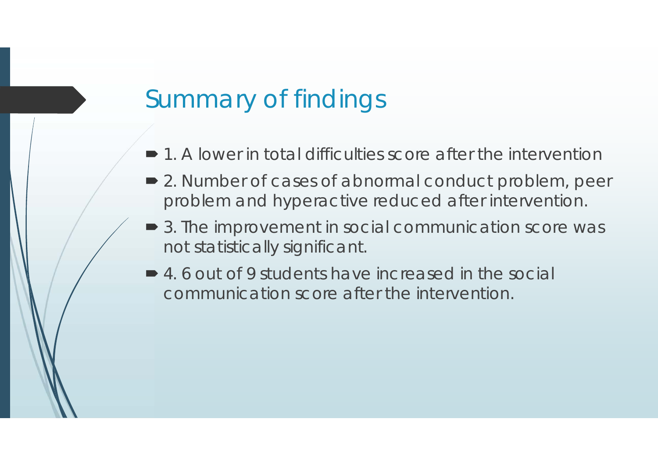# Summary of findings

- 1. A lower in total difficulties score after the intervention
- 2. Number of cases of abnormal conduct problem, peer problem and hyperactive reduced after intervention.
- **3. The improvement in social communication score was** not statistically significant.
- 4.6 out of 9 students have increased in the social communication score after the intervention.